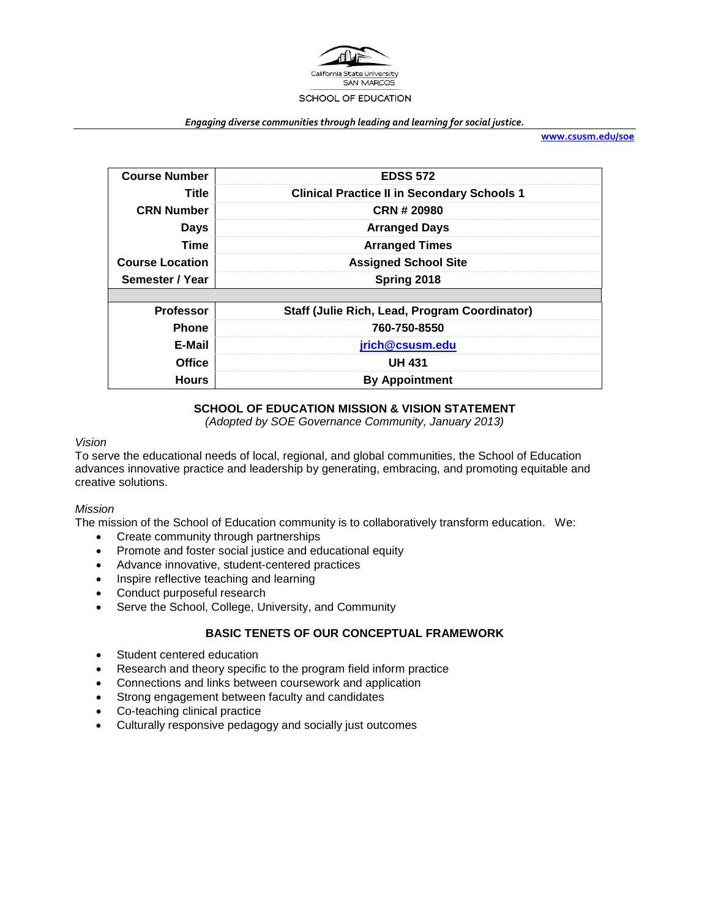

#### *Engaging diverse communities through leading and learning for social justice.*

**[www.csusm.edu/soe](http://www.csusm.edu/soe)**

| <b>Course Number</b>   | <b>EDSS 572</b>                                    |  |
|------------------------|----------------------------------------------------|--|
| Title                  | <b>Clinical Practice II in Secondary Schools 1</b> |  |
| <b>CRN Number</b>      | <b>CRN # 20980</b>                                 |  |
| <b>Days</b>            | <b>Arranged Days</b>                               |  |
| Time                   | <b>Arranged Times</b>                              |  |
| <b>Course Location</b> | <b>Assigned School Site</b>                        |  |
| Semester / Year        | Spring 2018                                        |  |
|                        |                                                    |  |
| <b>Professor</b>       | Staff (Julie Rich, Lead, Program Coordinator)      |  |
| <b>Phone</b>           | 760-750-8550                                       |  |
| E-Mail                 | jrich@csusm.edu                                    |  |
| <b>Office</b>          | <b>UH 431</b>                                      |  |
| <b>Hours</b>           | <b>By Appointment</b>                              |  |

# **SCHOOL OF EDUCATION MISSION & VISION STATEMENT**

*(Adopted by SOE Governance Community, January 2013)*

## *Vision*

To serve the educational needs of local, regional, and global communities, the School of Education advances innovative practice and leadership by generating, embracing, and promoting equitable and creative solutions.

# *Mission*

The mission of the School of Education community is to collaboratively transform education. We:

- Create community through partnerships
- Promote and foster social justice and educational equity
- Advance innovative, student-centered practices
- Inspire reflective teaching and learning
- Conduct purposeful research
- Serve the School, College, University, and Community

# **BASIC TENETS OF OUR CONCEPTUAL FRAMEWORK**

- Student centered education
- Research and theory specific to the program field inform practice
- Connections and links between coursework and application
- Strong engagement between faculty and candidates
- Co-teaching clinical practice
- Culturally responsive pedagogy and socially just outcomes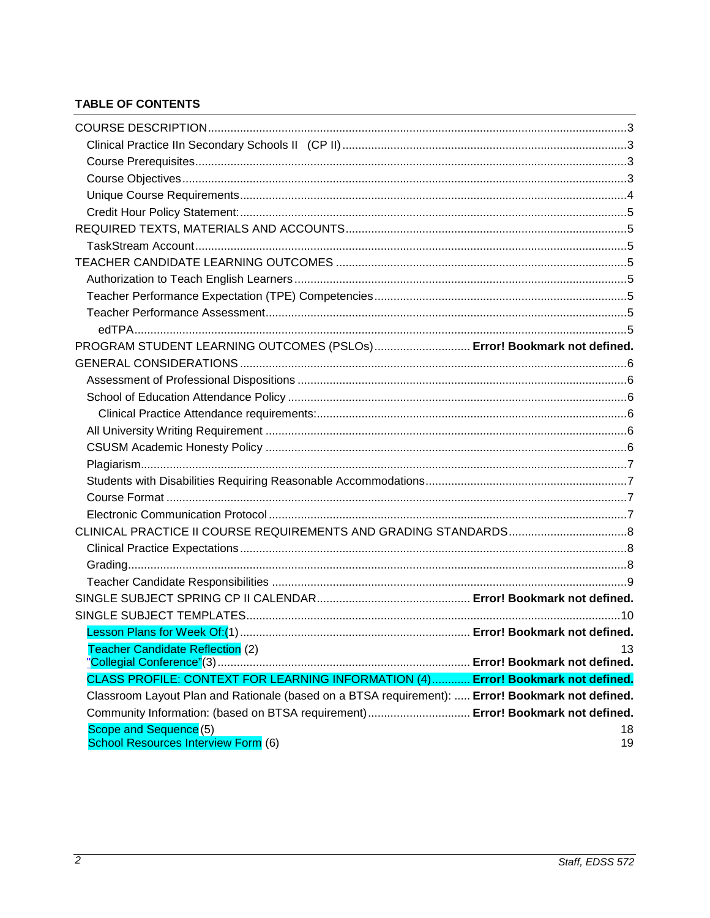# **TABLE OF CONTENTS**

| PROGRAM STUDENT LEARNING OUTCOMES (PSLOs) Error! Bookmark not defined.                           |    |
|--------------------------------------------------------------------------------------------------|----|
|                                                                                                  |    |
|                                                                                                  |    |
|                                                                                                  |    |
|                                                                                                  |    |
|                                                                                                  |    |
|                                                                                                  |    |
|                                                                                                  |    |
|                                                                                                  |    |
|                                                                                                  |    |
|                                                                                                  |    |
|                                                                                                  |    |
|                                                                                                  |    |
|                                                                                                  |    |
|                                                                                                  |    |
|                                                                                                  |    |
|                                                                                                  |    |
| <b>Teacher Candidate Reflection (2)</b>                                                          | 13 |
|                                                                                                  |    |
| CLASS PROFILE: CONTEXT FOR LEARNING INFORMATION (4) Error! Bookmark not defined.                 |    |
| Classroom Layout Plan and Rationale (based on a BTSA requirement):  Error! Bookmark not defined. |    |
| Community Information: (based on BTSA requirement) Error! Bookmark not defined.                  |    |
| Scope and Sequence (5)                                                                           | 18 |
| School Resources Interview Form (6)                                                              | 19 |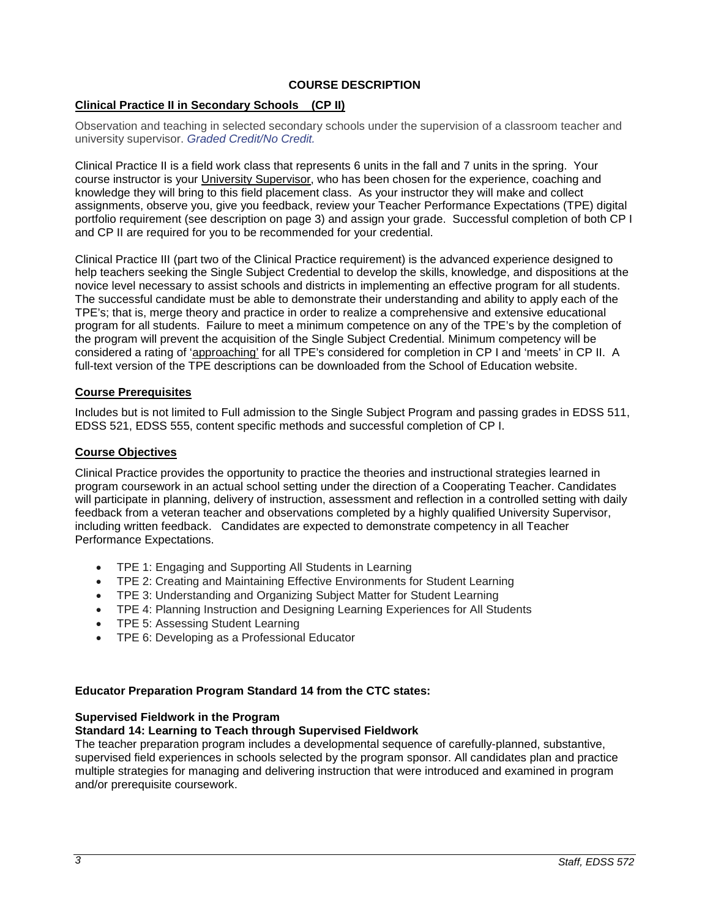# **COURSE DESCRIPTION**

# <span id="page-2-1"></span><span id="page-2-0"></span>**Clinical Practice II in Secondary Schools (CP II)**

Observation and teaching in selected secondary schools under the supervision of a classroom teacher and university supervisor. *Graded Credit/No Credit.*

Clinical Practice II is a field work class that represents 6 units in the fall and 7 units in the spring. Your course instructor is your University Supervisor, who has been chosen for the experience, coaching and knowledge they will bring to this field placement class. As your instructor they will make and collect assignments, observe you, give you feedback, review your Teacher Performance Expectations (TPE) digital portfolio requirement (see description on page 3) and assign your grade. Successful completion of both CP I and CP II are required for you to be recommended for your credential.

Clinical Practice III (part two of the Clinical Practice requirement) is the advanced experience designed to help teachers seeking the Single Subject Credential to develop the skills, knowledge, and dispositions at the novice level necessary to assist schools and districts in implementing an effective program for all students. The successful candidate must be able to demonstrate their understanding and ability to apply each of the TPE's; that is, merge theory and practice in order to realize a comprehensive and extensive educational program for all students. Failure to meet a minimum competence on any of the TPE's by the completion of the program will prevent the acquisition of the Single Subject Credential. Minimum competency will be considered a rating of 'approaching' for all TPE's considered for completion in CP I and 'meets' in CP II. A full-text version of the TPE descriptions can be downloaded from the School of Education website.

### <span id="page-2-2"></span>**Course Prerequisites**

Includes but is not limited to Full admission to the Single Subject Program and passing grades in EDSS 511, EDSS 521, EDSS 555, content specific methods and successful completion of CP I.

# <span id="page-2-3"></span>**Course Objectives**

Clinical Practice provides the opportunity to practice the theories and instructional strategies learned in program coursework in an actual school setting under the direction of a Cooperating Teacher. Candidates will participate in planning, delivery of instruction, assessment and reflection in a controlled setting with daily feedback from a veteran teacher and observations completed by a highly qualified University Supervisor, including written feedback. Candidates are expected to demonstrate competency in all Teacher Performance Expectations.

- TPE 1: Engaging and Supporting All Students in Learning
- TPE 2: Creating and Maintaining Effective Environments for Student Learning
- TPE 3: Understanding and Organizing Subject Matter for Student Learning
- TPE 4: Planning Instruction and Designing Learning Experiences for All Students
- TPE 5: Assessing Student Learning
- TPE 6: Developing as a Professional Educator

### **Educator Preparation Program Standard 14 from the CTC states:**

## **Supervised Fieldwork in the Program**

### **Standard 14: Learning to Teach through Supervised Fieldwork**

The teacher preparation program includes a developmental sequence of carefully-planned, substantive, supervised field experiences in schools selected by the program sponsor. All candidates plan and practice multiple strategies for managing and delivering instruction that were introduced and examined in program and/or prerequisite coursework.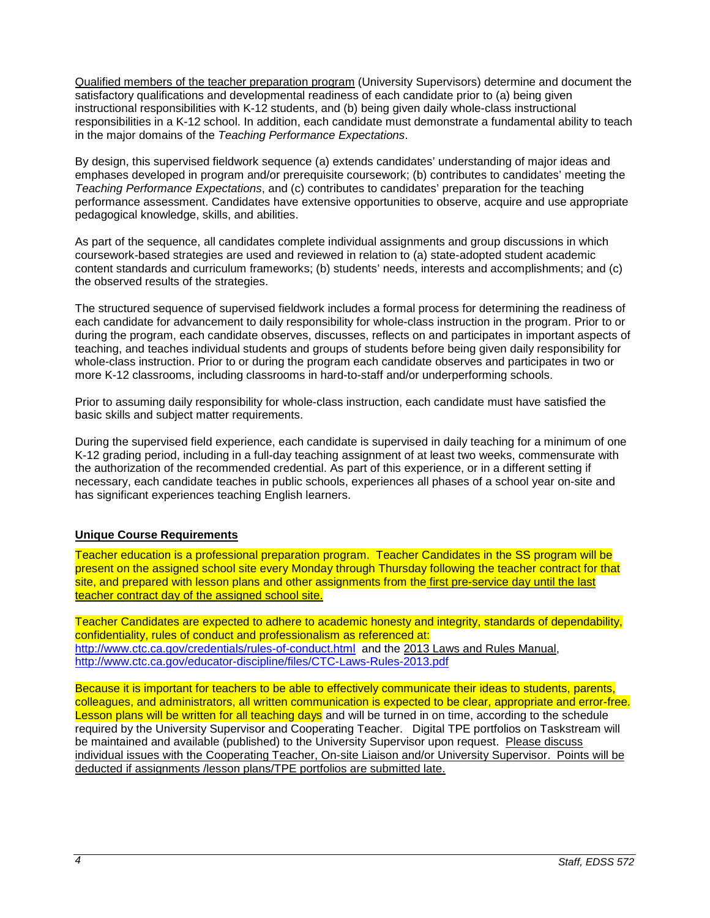Qualified members of the teacher preparation program (University Supervisors) determine and document the satisfactory qualifications and developmental readiness of each candidate prior to (a) being given instructional responsibilities with K-12 students, and (b) being given daily whole-class instructional responsibilities in a K-12 school. In addition, each candidate must demonstrate a fundamental ability to teach in the major domains of the *Teaching Performance Expectations*.

By design, this supervised fieldwork sequence (a) extends candidates' understanding of major ideas and emphases developed in program and/or prerequisite coursework; (b) contributes to candidates' meeting the *Teaching Performance Expectations*, and (c) contributes to candidates' preparation for the teaching performance assessment. Candidates have extensive opportunities to observe, acquire and use appropriate pedagogical knowledge, skills, and abilities.

As part of the sequence, all candidates complete individual assignments and group discussions in which coursework-based strategies are used and reviewed in relation to (a) state-adopted student academic content standards and curriculum frameworks; (b) students' needs, interests and accomplishments; and (c) the observed results of the strategies.

The structured sequence of supervised fieldwork includes a formal process for determining the readiness of each candidate for advancement to daily responsibility for whole-class instruction in the program. Prior to or during the program, each candidate observes, discusses, reflects on and participates in important aspects of teaching, and teaches individual students and groups of students before being given daily responsibility for whole-class instruction. Prior to or during the program each candidate observes and participates in two or more K-12 classrooms, including classrooms in hard-to-staff and/or underperforming schools.

Prior to assuming daily responsibility for whole-class instruction, each candidate must have satisfied the basic skills and subject matter requirements.

During the supervised field experience, each candidate is supervised in daily teaching for a minimum of one K-12 grading period, including in a full-day teaching assignment of at least two weeks, commensurate with the authorization of the recommended credential. As part of this experience, or in a different setting if necessary, each candidate teaches in public schools, experiences all phases of a school year on-site and has significant experiences teaching English learners.

# <span id="page-3-0"></span>**Unique Course Requirements**

Teacher education is a professional preparation program. Teacher Candidates in the SS program will be present on the assigned school site every Monday through Thursday following the teacher contract for that site, and prepared with lesson plans and other assignments from the first pre-service day until the last teacher contract day of the assigned school site.

Teacher Candidates are expected to adhere to academic honesty and integrity, standards of dependability, confidentiality, rules of conduct and professionalism as referenced at: <http://www.ctc.ca.gov/credentials/rules-of-conduct.html>and the 2013 Laws and Rules Manual, <http://www.ctc.ca.gov/educator-discipline/files/CTC-Laws-Rules-2013.pdf>

Because it is important for teachers to be able to effectively communicate their ideas to students, parents, colleagues, and administrators, all written communication is expected to be clear, appropriate and error-free. Lesson plans will be written for all teaching days and will be turned in on time, according to the schedule required by the University Supervisor and Cooperating Teacher. Digital TPE portfolios on Taskstream will be maintained and available (published) to the University Supervisor upon request. Please discuss individual issues with the Cooperating Teacher, On-site Liaison and/or University Supervisor. Points will be deducted if assignments /lesson plans/TPE portfolios are submitted late.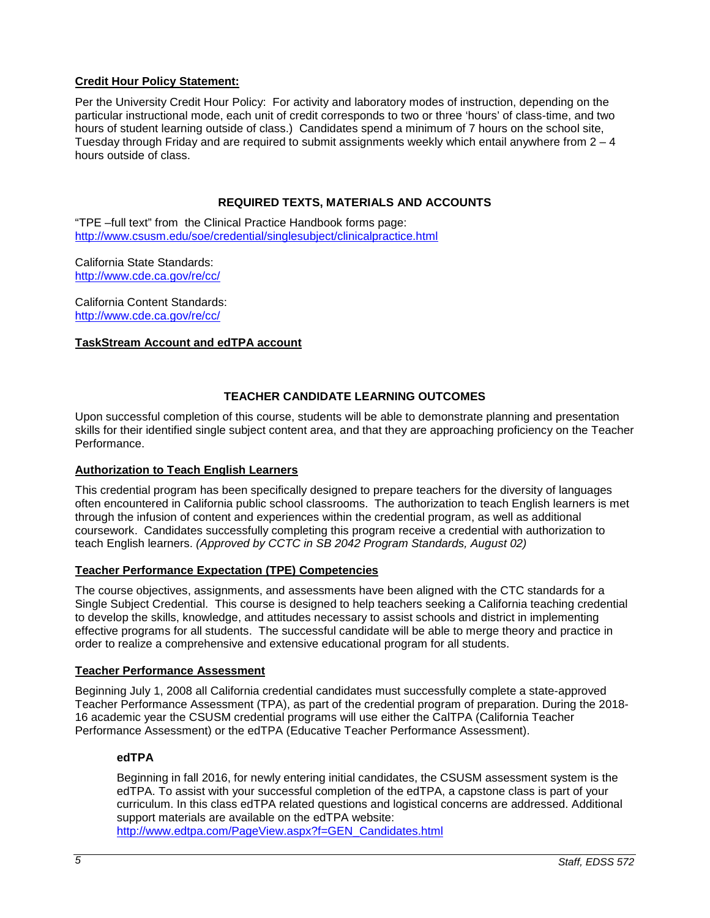# <span id="page-4-0"></span>**Credit Hour Policy Statement:**

Per the University Credit Hour Policy: For activity and laboratory modes of instruction, depending on the particular instructional mode, each unit of credit corresponds to two or three 'hours' of class-time, and two hours of student learning outside of class.) Candidates spend a minimum of 7 hours on the school site, Tuesday through Friday and are required to submit assignments weekly which entail anywhere from  $2 - 4$ hours outside of class.

# **REQUIRED TEXTS, MATERIALS AND ACCOUNTS**

<span id="page-4-1"></span>"TPE –full text" from the Clinical Practice Handbook forms page: <http://www.csusm.edu/soe/credential/singlesubject/clinicalpractice.html>

California State Standards: <http://www.cde.ca.gov/re/cc/>

California Content Standards: <http://www.cde.ca.gov/re/cc/>

# <span id="page-4-2"></span>**TaskStream Account and edTPA account**

# **TEACHER CANDIDATE LEARNING OUTCOMES**

<span id="page-4-3"></span>Upon successful completion of this course, students will be able to demonstrate planning and presentation skills for their identified single subject content area, and that they are approaching proficiency on the Teacher Performance.

### <span id="page-4-4"></span>**Authorization to Teach English Learners**

This credential program has been specifically designed to prepare teachers for the diversity of languages often encountered in California public school classrooms. The authorization to teach English learners is met through the infusion of content and experiences within the credential program, as well as additional coursework. Candidates successfully completing this program receive a credential with authorization to teach English learners. *(Approved by CCTC in SB 2042 Program Standards, August 02)*

## <span id="page-4-5"></span>**Teacher Performance Expectation (TPE) Competencies**

The course objectives, assignments, and assessments have been aligned with the CTC standards for a Single Subject Credential. This course is designed to help teachers seeking a California teaching credential to develop the skills, knowledge, and attitudes necessary to assist schools and district in implementing effective programs for all students. The successful candidate will be able to merge theory and practice in order to realize a comprehensive and extensive educational program for all students.

### <span id="page-4-6"></span>**Teacher Performance Assessment**

Beginning July 1, 2008 all California credential candidates must successfully complete a state-approved Teacher Performance Assessment (TPA), as part of the credential program of preparation. During the 2018- 16 academic year the CSUSM credential programs will use either the CalTPA (California Teacher Performance Assessment) or the edTPA (Educative Teacher Performance Assessment).

### <span id="page-4-7"></span>**edTPA**

Beginning in fall 2016, for newly entering initial candidates, the CSUSM assessment system is the edTPA. To assist with your successful completion of the edTPA, a capstone class is part of your curriculum. In this class edTPA related questions and logistical concerns are addressed. Additional support materials are available on the edTPA website:

[http://www.edtpa.com/PageView.aspx?f=GEN\\_Candidates.html](http://www.edtpa.com/PageView.aspx?f=GEN_Candidates.html)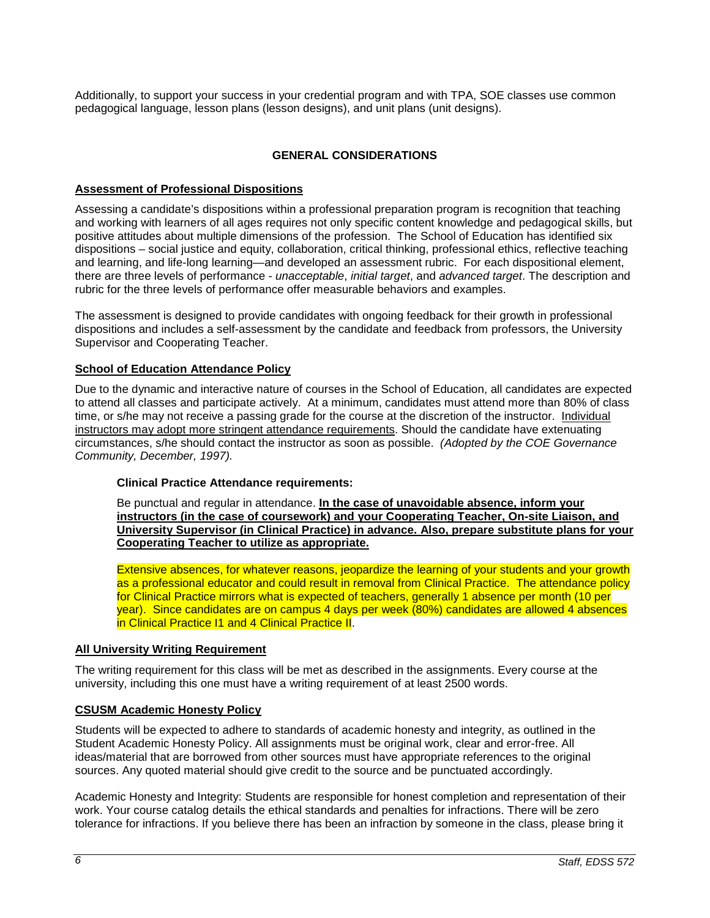Additionally, to support your success in your credential program and with TPA, SOE classes use common pedagogical language, lesson plans (lesson designs), and unit plans (unit designs).

# **GENERAL CONSIDERATIONS**

### <span id="page-5-1"></span><span id="page-5-0"></span>**Assessment of Professional Dispositions**

Assessing a candidate's dispositions within a professional preparation program is recognition that teaching and working with learners of all ages requires not only specific content knowledge and pedagogical skills, but positive attitudes about multiple dimensions of the profession. The School of Education has identified six dispositions – social justice and equity, collaboration, critical thinking, professional ethics, reflective teaching and learning, and life-long learning—and developed an assessment rubric. For each dispositional element, there are three levels of performance - *unacceptable*, *initial target*, and *advanced target*. The description and rubric for the three levels of performance offer measurable behaviors and examples.

The assessment is designed to provide candidates with ongoing feedback for their growth in professional dispositions and includes a self-assessment by the candidate and feedback from professors, the University Supervisor and Cooperating Teacher.

#### <span id="page-5-2"></span>**School of Education Attendance Policy**

Due to the dynamic and interactive nature of courses in the School of Education, all candidates are expected to attend all classes and participate actively. At a minimum, candidates must attend more than 80% of class time, or s/he may not receive a passing grade for the course at the discretion of the instructor. Individual instructors may adopt more stringent attendance requirements. Should the candidate have extenuating circumstances, s/he should contact the instructor as soon as possible. *(Adopted by the COE Governance Community, December, 1997).*

#### <span id="page-5-3"></span>**Clinical Practice Attendance requirements:**

Be punctual and regular in attendance. **In the case of unavoidable absence, inform your instructors (in the case of coursework) and your Cooperating Teacher, On-site Liaison, and University Supervisor (in Clinical Practice) in advance. Also, prepare substitute plans for your Cooperating Teacher to utilize as appropriate.**

Extensive absences, for whatever reasons, jeopardize the learning of your students and your growth as a professional educator and could result in removal from Clinical Practice. The attendance policy for Clinical Practice mirrors what is expected of teachers, generally 1 absence per month (10 per year). Since candidates are on campus 4 days per week (80%) candidates are allowed 4 absences in Clinical Practice I1 and 4 Clinical Practice II.

# <span id="page-5-4"></span>**All University Writing Requirement**

The writing requirement for this class will be met as described in the assignments. Every course at the university, including this one must have a writing requirement of at least 2500 words.

#### <span id="page-5-5"></span>**CSUSM Academic Honesty Policy**

Students will be expected to adhere to standards of academic honesty and integrity, as outlined in the Student Academic Honesty Policy. All assignments must be original work, clear and error-free. All ideas/material that are borrowed from other sources must have appropriate references to the original sources. Any quoted material should give credit to the source and be punctuated accordingly.

Academic Honesty and Integrity: Students are responsible for honest completion and representation of their work. Your course catalog details the ethical standards and penalties for infractions. There will be zero tolerance for infractions. If you believe there has been an infraction by someone in the class, please bring it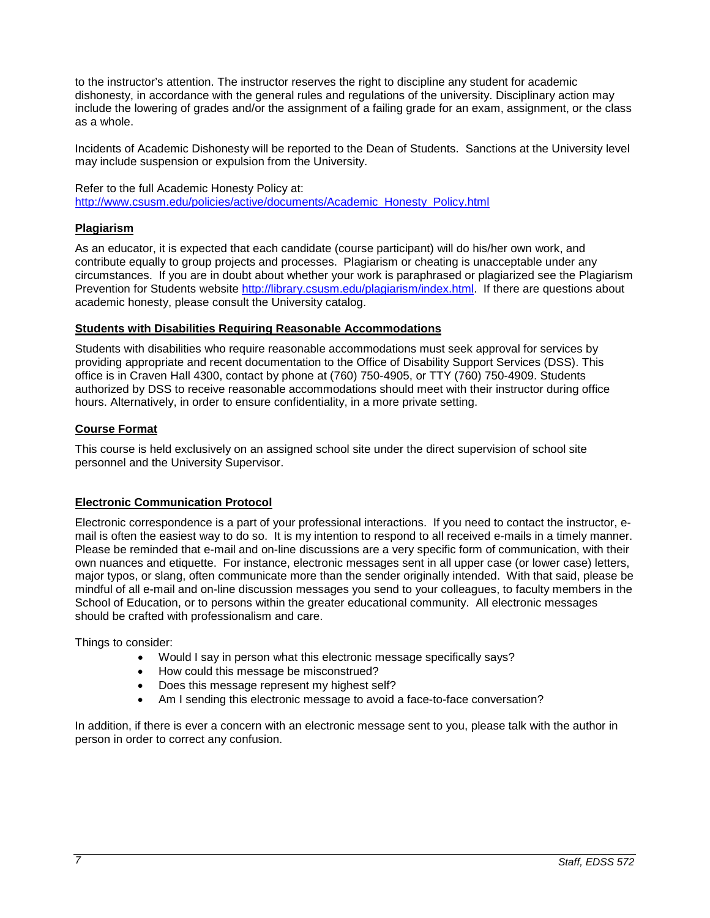to the instructor's attention. The instructor reserves the right to discipline any student for academic dishonesty, in accordance with the general rules and regulations of the university. Disciplinary action may include the lowering of grades and/or the assignment of a failing grade for an exam, assignment, or the class as a whole.

Incidents of Academic Dishonesty will be reported to the Dean of Students. Sanctions at the University level may include suspension or expulsion from the University.

Refer to the full Academic Honesty Policy at: [http://www.csusm.edu/policies/active/documents/Academic\\_Honesty\\_Policy.html](http://www.csusm.edu/policies/active/documents/Academic_Honesty_Policy.html)

## <span id="page-6-0"></span>**Plagiarism**

As an educator, it is expected that each candidate (course participant) will do his/her own work, and contribute equally to group projects and processes. Plagiarism or cheating is unacceptable under any circumstances. If you are in doubt about whether your work is paraphrased or plagiarized see the Plagiarism Prevention for Students website [http://library.csusm.edu/plagiarism/index.html.](http://library.csusm.edu/plagiarism/index.html) If there are questions about academic honesty, please consult the University catalog.

# <span id="page-6-1"></span>**Students with Disabilities Requiring Reasonable Accommodations**

Students with disabilities who require reasonable accommodations must seek approval for services by providing appropriate and recent documentation to the Office of Disability Support Services (DSS). This office is in Craven Hall 4300, contact by phone at (760) 750-4905, or TTY (760) 750-4909. Students authorized by DSS to receive reasonable accommodations should meet with their instructor during office hours. Alternatively, in order to ensure confidentiality, in a more private setting.

# <span id="page-6-2"></span>**Course Format**

This course is held exclusively on an assigned school site under the direct supervision of school site personnel and the University Supervisor.

# <span id="page-6-3"></span>**Electronic Communication Protocol**

Electronic correspondence is a part of your professional interactions. If you need to contact the instructor, email is often the easiest way to do so. It is my intention to respond to all received e-mails in a timely manner. Please be reminded that e-mail and on-line discussions are a very specific form of communication, with their own nuances and etiquette. For instance, electronic messages sent in all upper case (or lower case) letters, major typos, or slang, often communicate more than the sender originally intended. With that said, please be mindful of all e-mail and on-line discussion messages you send to your colleagues, to faculty members in the School of Education, or to persons within the greater educational community. All electronic messages should be crafted with professionalism and care.

Things to consider:

- Would I say in person what this electronic message specifically says?
- How could this message be misconstrued?
- Does this message represent my highest self?
- Am I sending this electronic message to avoid a face-to-face conversation?

In addition, if there is ever a concern with an electronic message sent to you, please talk with the author in person in order to correct any confusion.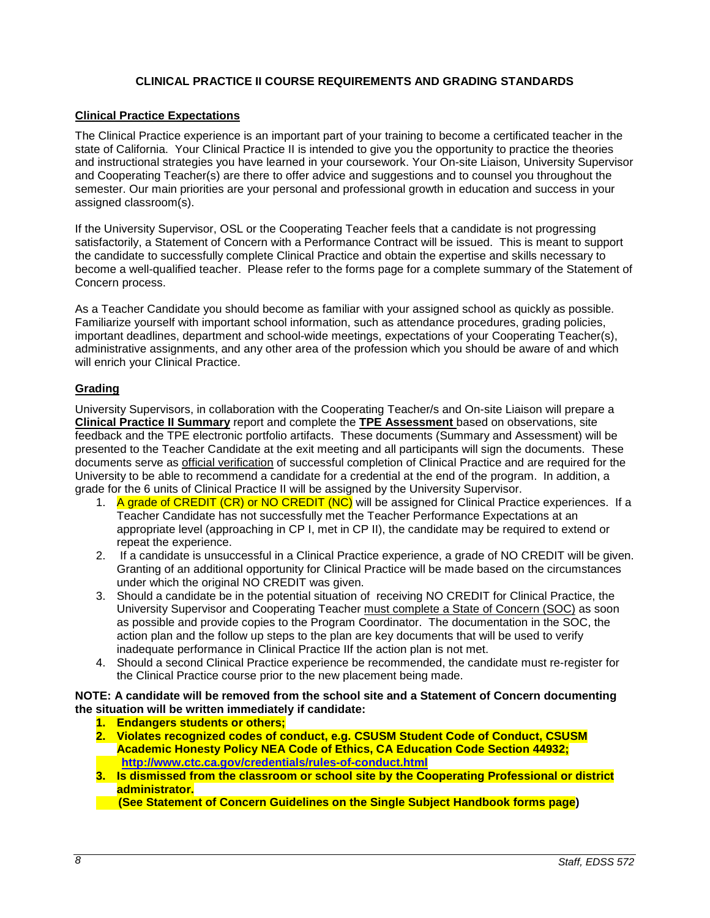# **CLINICAL PRACTICE II COURSE REQUIREMENTS AND GRADING STANDARDS**

# <span id="page-7-1"></span><span id="page-7-0"></span>**Clinical Practice Expectations**

The Clinical Practice experience is an important part of your training to become a certificated teacher in the state of California. Your Clinical Practice II is intended to give you the opportunity to practice the theories and instructional strategies you have learned in your coursework. Your On-site Liaison, University Supervisor and Cooperating Teacher(s) are there to offer advice and suggestions and to counsel you throughout the semester. Our main priorities are your personal and professional growth in education and success in your assigned classroom(s).

If the University Supervisor, OSL or the Cooperating Teacher feels that a candidate is not progressing satisfactorily, a Statement of Concern with a Performance Contract will be issued. This is meant to support the candidate to successfully complete Clinical Practice and obtain the expertise and skills necessary to become a well-qualified teacher. Please refer to the forms page for a complete summary of the Statement of Concern process.

As a Teacher Candidate you should become as familiar with your assigned school as quickly as possible. Familiarize yourself with important school information, such as attendance procedures, grading policies, important deadlines, department and school-wide meetings, expectations of your Cooperating Teacher(s), administrative assignments, and any other area of the profession which you should be aware of and which will enrich your Clinical Practice.

# <span id="page-7-2"></span>**Grading**

University Supervisors, in collaboration with the Cooperating Teacher/s and On-site Liaison will prepare a **Clinical Practice II Summary** report and complete the **TPE Assessment** based on observations, site feedback and the TPE electronic portfolio artifacts. These documents (Summary and Assessment) will be presented to the Teacher Candidate at the exit meeting and all participants will sign the documents. These documents serve as official verification of successful completion of Clinical Practice and are required for the University to be able to recommend a candidate for a credential at the end of the program. In addition, a grade for the 6 units of Clinical Practice II will be assigned by the University Supervisor.

- 1. A grade of CREDIT (CR) or NO CREDIT (NC) will be assigned for Clinical Practice experiences. If a Teacher Candidate has not successfully met the Teacher Performance Expectations at an appropriate level (approaching in CP I, met in CP II), the candidate may be required to extend or repeat the experience.
- 2. If a candidate is unsuccessful in a Clinical Practice experience, a grade of NO CREDIT will be given. Granting of an additional opportunity for Clinical Practice will be made based on the circumstances under which the original NO CREDIT was given.
- 3. Should a candidate be in the potential situation of receiving NO CREDIT for Clinical Practice, the University Supervisor and Cooperating Teacher must complete a State of Concern (SOC) as soon as possible and provide copies to the Program Coordinator. The documentation in the SOC, the action plan and the follow up steps to the plan are key documents that will be used to verify inadequate performance in Clinical Practice IIf the action plan is not met.
- 4. Should a second Clinical Practice experience be recommended, the candidate must re-register for the Clinical Practice course prior to the new placement being made.

**NOTE: A candidate will be removed from the school site and a Statement of Concern documenting the situation will be written immediately if candidate:**

- **1. Endangers students or others;**
- **2. Violates recognized codes of conduct, e.g. CSUSM Student Code of Conduct, CSUSM Academic Honesty Policy NEA Code of Ethics, CA Education Code Section 44932; <http://www.ctc.ca.gov/credentials/rules-of-conduct.html>**
- **3. Is dismissed from the classroom or school site by the Cooperating Professional or district administrator.**

 **(See Statement of Concern Guidelines on the Single Subject Handbook forms page)**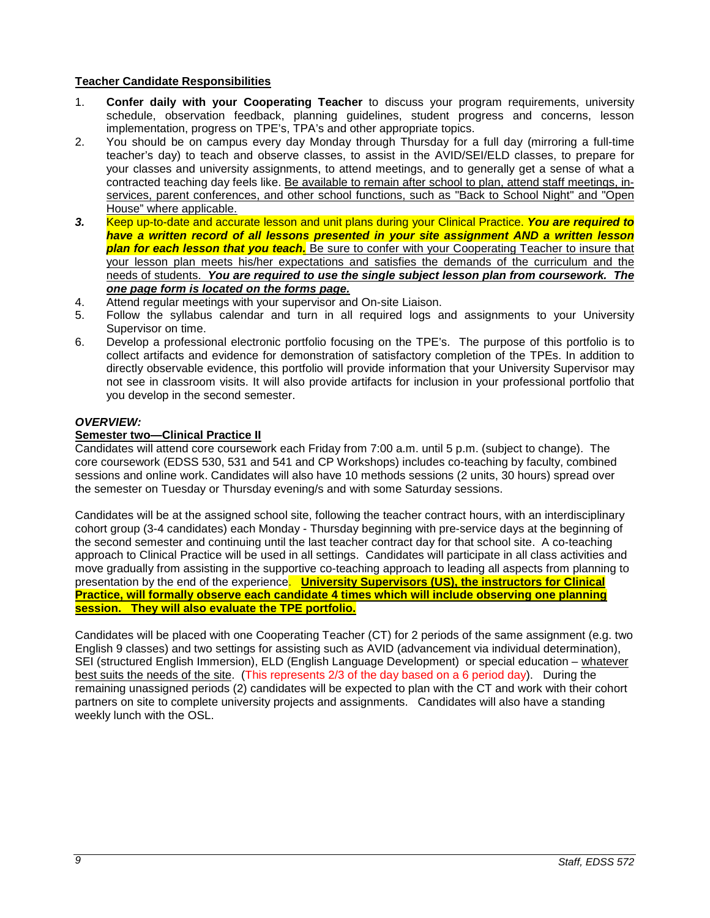# <span id="page-8-0"></span>**Teacher Candidate Responsibilities**

- 1. **Confer daily with your Cooperating Teacher** to discuss your program requirements, university schedule, observation feedback, planning guidelines, student progress and concerns, lesson implementation, progress on TPE's, TPA's and other appropriate topics.
- 2. You should be on campus every day Monday through Thursday for a full day (mirroring a full-time teacher's day) to teach and observe classes, to assist in the AVID/SEI/ELD classes, to prepare for your classes and university assignments, to attend meetings, and to generally get a sense of what a contracted teaching day feels like. Be available to remain after school to plan, attend staff meetings, inservices, parent conferences, and other school functions, such as "Back to School Night" and "Open House" where applicable.
- *3.* Keep up-to-date and accurate lesson and unit plans during your Clinical Practice. *You are required to have a written record of all lessons presented in your site assignment AND a written lesson plan for each lesson that you teach.* Be sure to confer with your Cooperating Teacher to insure that your lesson plan meets his/her expectations and satisfies the demands of the curriculum and the needs of students. *You are required to use the single subject lesson plan from coursework. The one page form is located on the forms page.*
- 4. Attend regular meetings with your supervisor and On-site Liaison.
- 5. Follow the syllabus calendar and turn in all required logs and assignments to your University Supervisor on time.
- 6. Develop a professional electronic portfolio focusing on the TPE's. The purpose of this portfolio is to collect artifacts and evidence for demonstration of satisfactory completion of the TPEs. In addition to directly observable evidence, this portfolio will provide information that your University Supervisor may not see in classroom visits. It will also provide artifacts for inclusion in your professional portfolio that you develop in the second semester.

# *OVERVIEW:*

# **Semester two—Clinical Practice II**

Candidates will attend core coursework each Friday from 7:00 a.m. until 5 p.m. (subject to change). The core coursework (EDSS 530, 531 and 541 and CP Workshops) includes co-teaching by faculty, combined sessions and online work. Candidates will also have 10 methods sessions (2 units, 30 hours) spread over the semester on Tuesday or Thursday evening/s and with some Saturday sessions.

Candidates will be at the assigned school site, following the teacher contract hours, with an interdisciplinary cohort group (3-4 candidates) each Monday - Thursday beginning with pre-service days at the beginning of the second semester and continuing until the last teacher contract day for that school site. A co-teaching approach to Clinical Practice will be used in all settings. Candidates will participate in all class activities and move gradually from assisting in the supportive co-teaching approach to leading all aspects from planning to presentation by the end of the experience. **University Supervisors (US), the instructors for Clinical Practice, will formally observe each candidate 4 times which will include observing one planning session. They will also evaluate the TPE portfolio.**

Candidates will be placed with one Cooperating Teacher (CT) for 2 periods of the same assignment (e.g. two English 9 classes) and two settings for assisting such as AVID (advancement via individual determination), SEI (structured English Immersion), ELD (English Language Development) or special education – whatever best suits the needs of the site. (This represents 2/3 of the day based on a 6 period day). During the remaining unassigned periods (2) candidates will be expected to plan with the CT and work with their cohort partners on site to complete university projects and assignments. Candidates will also have a standing weekly lunch with the OSL.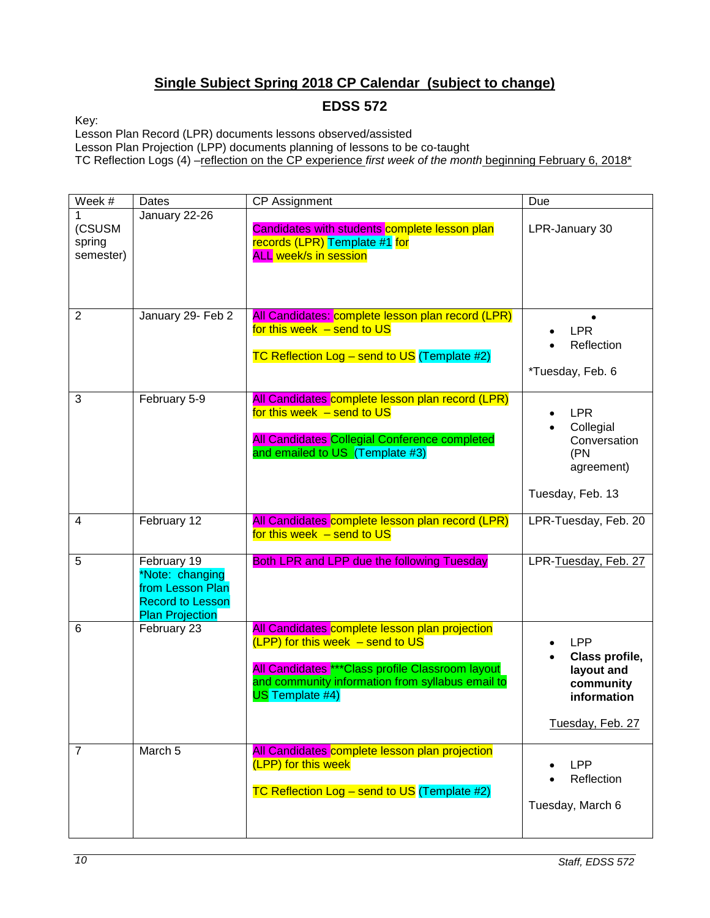# **Single Subject Spring 2018 CP Calendar (subject to change)**

# **EDSS 572**

<span id="page-9-0"></span>Key:

Lesson Plan Record (LPR) documents lessons observed/assisted

Lesson Plan Projection (LPP) documents planning of lessons to be co-taught

TC Reflection Logs (4) –reflection on the CP experience *first week of the month* beginning February 6, 2018\*

| Week #                             | Dates                                                                                                   | <b>CP Assignment</b>                                                                                                                                                                                                      | Due                                                                                        |
|------------------------------------|---------------------------------------------------------------------------------------------------------|---------------------------------------------------------------------------------------------------------------------------------------------------------------------------------------------------------------------------|--------------------------------------------------------------------------------------------|
| 1<br>(CSUSM<br>spring<br>semester) | January 22-26                                                                                           | Candidates with students complete lesson plan<br>records (LPR) Template #1 for<br><b>ALL</b> week/s in session                                                                                                            | LPR-January 30                                                                             |
| 2                                  | January 29- Feb 2                                                                                       | All Candidates: complete lesson plan record (LPR)<br>for this week - send to US<br>TC Reflection Log $-$ send to US (Template #2)                                                                                         | <b>LPR</b><br>Reflection<br>*Tuesday, Feb. 6                                               |
| 3                                  | February 5-9                                                                                            | All Candidates complete lesson plan record (LPR)<br>for this week $-$ send to US<br>All Candidates Collegial Conference completed<br>and emailed to US (Template #3)                                                      | <b>LPR</b><br>Collegial<br>Conversation<br>(PN<br>agreement)<br>Tuesday, Feb. 13           |
| $\overline{4}$                     | February 12                                                                                             | All Candidates complete lesson plan record (LPR)<br>for this week $-$ send to US                                                                                                                                          | LPR-Tuesday, Feb. 20                                                                       |
| 5                                  | February 19<br>*Note: changing<br>from Lesson Plan<br><b>Record to Lesson</b><br><b>Plan Projection</b> | <b>Both LPR and LPP due the following Tuesday</b>                                                                                                                                                                         | LPR-Tuesday, Feb. 27                                                                       |
| 6                                  | February 23                                                                                             | All Candidates complete lesson plan projection<br>$(LPP)$ for this week $-$ send to US<br>All Candidates *** Class profile Classroom layout<br>and community information from syllabus email to<br><b>US</b> Template #4) | <b>LPP</b><br>Class profile,<br>layout and<br>community<br>information<br>Tuesday, Feb. 27 |
| 7                                  | March 5                                                                                                 | All Candidates complete lesson plan projection<br>(LPP) for this week<br>TC Reflection Log $-$ send to US (Template #2)                                                                                                   | <b>LPP</b><br>Reflection<br>Tuesday, March 6                                               |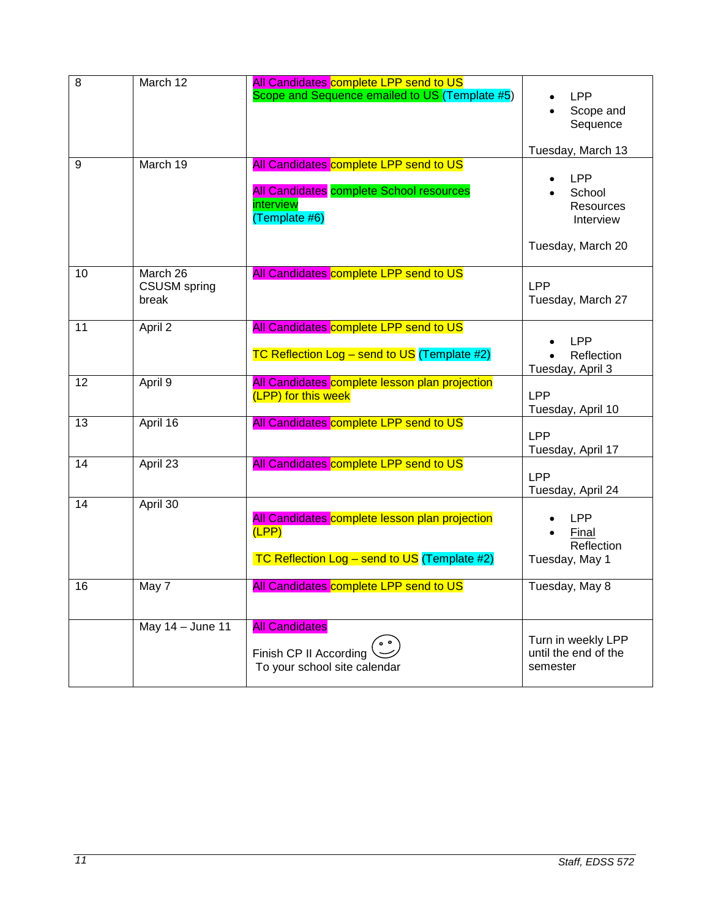| 8  | March 12            | All Candidates complete LPP send to US         |                      |
|----|---------------------|------------------------------------------------|----------------------|
|    |                     | Scope and Sequence emailed to US (Template #5) | <b>LPP</b>           |
|    |                     |                                                | Scope and            |
|    |                     |                                                | Sequence             |
|    |                     |                                                |                      |
|    |                     |                                                | Tuesday, March 13    |
| 9  | March 19            | All Candidates complete LPP send to US         |                      |
|    |                     |                                                | <b>LPP</b>           |
|    |                     | All Candidates complete School resources       | School               |
|    |                     | interview                                      | <b>Resources</b>     |
|    |                     | (Template #6)                                  | Interview            |
|    |                     |                                                |                      |
|    |                     |                                                | Tuesday, March 20    |
|    |                     |                                                |                      |
| 10 | March 26            | All Candidates complete LPP send to US         |                      |
|    | <b>CSUSM</b> spring |                                                | LPP                  |
|    | break               |                                                | Tuesday, March 27    |
|    |                     |                                                |                      |
| 11 | April $2$           | All Candidates complete LPP send to US         |                      |
|    |                     |                                                | <b>LPP</b>           |
|    |                     | TC Reflection Log $-$ send to US (Template #2) | Reflection           |
|    |                     |                                                | Tuesday, April 3     |
| 12 | April 9             | All Candidates complete lesson plan projection |                      |
|    |                     | (LPP) for this week                            | <b>LPP</b>           |
|    |                     |                                                | Tuesday, April 10    |
| 13 | April 16            | All Candidates complete LPP send to US         |                      |
|    |                     |                                                | <b>LPP</b>           |
|    |                     |                                                | Tuesday, April 17    |
| 14 | April 23            | All Candidates complete LPP send to US         |                      |
|    |                     |                                                | <b>LPP</b>           |
|    |                     |                                                | Tuesday, April 24    |
| 14 | April 30            |                                                |                      |
|    |                     | All Candidates complete lesson plan projection | <b>LPP</b>           |
|    |                     | (LPP)                                          | Final                |
|    |                     |                                                | Reflection           |
|    |                     | TC Reflection Log – send to US (Template #2)   | Tuesday, May 1       |
| 16 | May 7               |                                                |                      |
|    |                     | All Candidates complete LPP send to US         | Tuesday, May 8       |
|    |                     |                                                |                      |
|    | May 14 - June 11    | <b>All Candidates</b>                          |                      |
|    |                     |                                                | Turn in weekly LPP   |
|    |                     | $\circ$ $\circ$<br>Finish CP II According      | until the end of the |
|    |                     | To your school site calendar                   | semester             |
|    |                     |                                                |                      |
|    |                     |                                                |                      |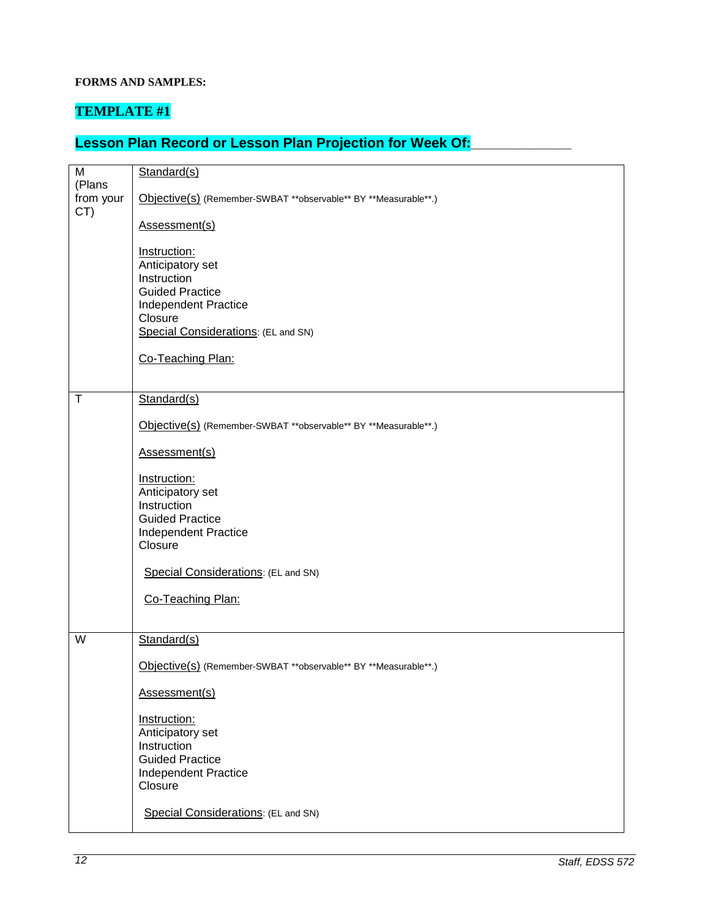# **FORMS AND SAMPLES:**

# **TEMPLATE #1**

# Lesson Plan Record or Lesson Plan Projection for Week Of:

| M                | Standard(s)                                                     |
|------------------|-----------------------------------------------------------------|
| (Plans           |                                                                 |
| from your<br>CT) | Objective(s) (Remember-SWBAT **observable** BY **Measurable**.) |
|                  | Assessment(s)                                                   |
|                  | Instruction:                                                    |
|                  | Anticipatory set                                                |
|                  | Instruction                                                     |
|                  | <b>Guided Practice</b>                                          |
|                  | Independent Practice                                            |
|                  | Closure                                                         |
|                  | Special Considerations: (EL and SN)                             |
|                  | Co-Teaching Plan:                                               |
|                  |                                                                 |
| $\mathsf{T}$     | Standard(s)                                                     |
|                  | Objective(s) (Remember-SWBAT **observable** BY **Measurable**.) |
|                  | Assessment(s)                                                   |
|                  | Instruction:                                                    |
|                  | Anticipatory set                                                |
|                  | Instruction                                                     |
|                  | <b>Guided Practice</b>                                          |
|                  | Independent Practice<br>Closure                                 |
|                  |                                                                 |
|                  | Special Considerations: (EL and SN)                             |
|                  | Co-Teaching Plan:                                               |
|                  |                                                                 |
| W                | Standard(s)                                                     |
|                  | Objective(s) (Remember-SWBAT **observable** BY **Measurable**.) |
|                  | Assessment(s)                                                   |
|                  | Instruction:                                                    |
|                  | Anticipatory set                                                |
|                  | Instruction                                                     |
|                  | <b>Guided Practice</b>                                          |
|                  | Independent Practice<br>Closure                                 |
|                  |                                                                 |
|                  | Special Considerations: (EL and SN)                             |
|                  |                                                                 |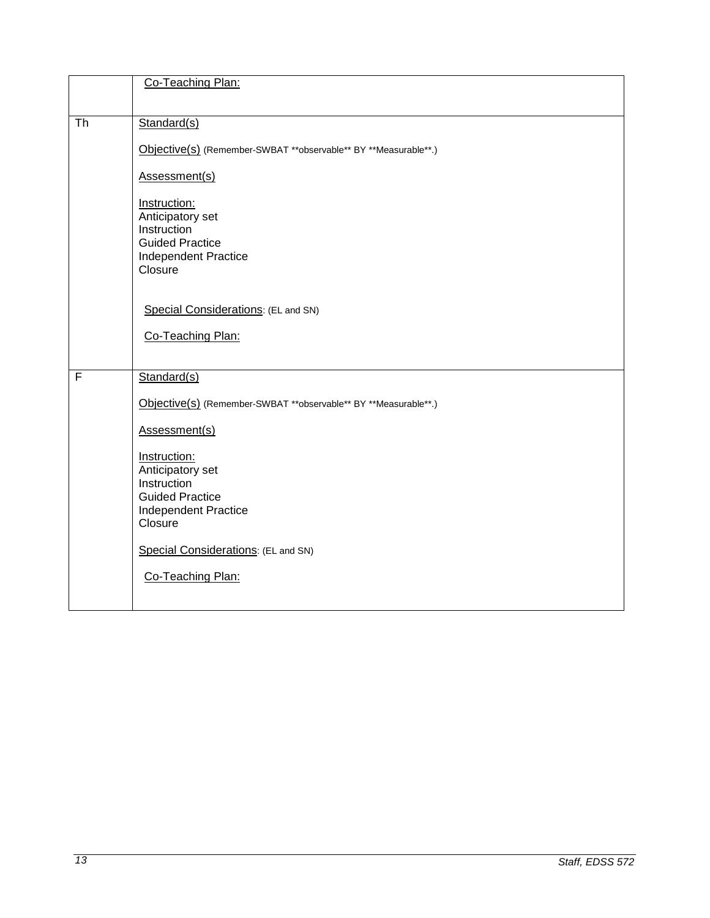|                        | Co-Teaching Plan:                                                                                            |
|------------------------|--------------------------------------------------------------------------------------------------------------|
| $\overline{\text{Th}}$ | Standard(s)                                                                                                  |
|                        |                                                                                                              |
|                        | Objective(s) (Remember-SWBAT **observable** BY **Measurable**.)                                              |
|                        | Assessment(s)                                                                                                |
|                        | Instruction:<br>Anticipatory set<br>Instruction<br><b>Guided Practice</b><br>Independent Practice<br>Closure |
|                        | Special Considerations: (EL and SN)                                                                          |
|                        | Co-Teaching Plan:                                                                                            |
| F                      | Standard(s)                                                                                                  |
|                        | Objective(s) (Remember-SWBAT **observable** BY **Measurable**.)                                              |
|                        | Assessment(s)                                                                                                |
|                        | Instruction:<br>Anticipatory set<br>Instruction<br><b>Guided Practice</b><br>Independent Practice<br>Closure |
|                        | Special Considerations: (EL and SN)                                                                          |
|                        | Co-Teaching Plan:                                                                                            |
|                        |                                                                                                              |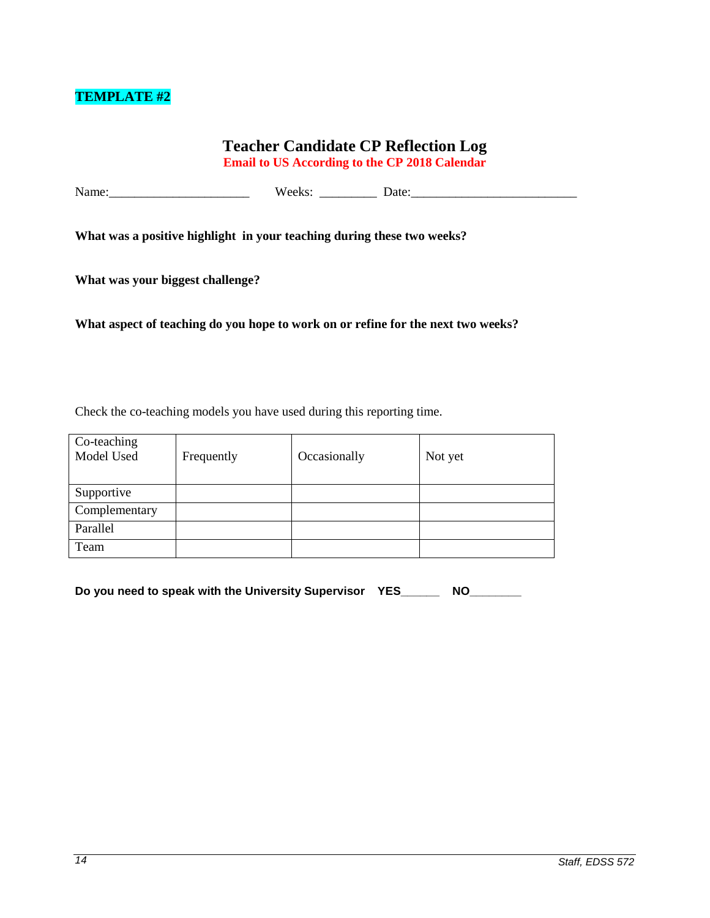

# **Teacher Candidate CP Reflection Log**

**Email to US According to the CP 2018 Calendar** 

Name:\_\_\_\_\_\_\_\_\_\_\_\_\_\_\_\_\_\_\_\_\_\_ Weeks: \_\_\_\_\_\_\_\_\_ Date:\_\_\_\_\_\_\_\_\_\_\_\_\_\_\_\_\_\_\_\_\_\_\_\_\_\_

**What was a positive highlight in your teaching during these two weeks?**

**What was your biggest challenge?**

**What aspect of teaching do you hope to work on or refine for the next two weeks?**

Check the co-teaching models you have used during this reporting time.

| Co-teaching<br>Model Used | Frequently | Occasionally | Not yet |
|---------------------------|------------|--------------|---------|
| Supportive                |            |              |         |
| Complementary             |            |              |         |
| Parallel                  |            |              |         |
| Team                      |            |              |         |

| Do you need to speak with the University Supervisor YES |  | NO. |
|---------------------------------------------------------|--|-----|
|---------------------------------------------------------|--|-----|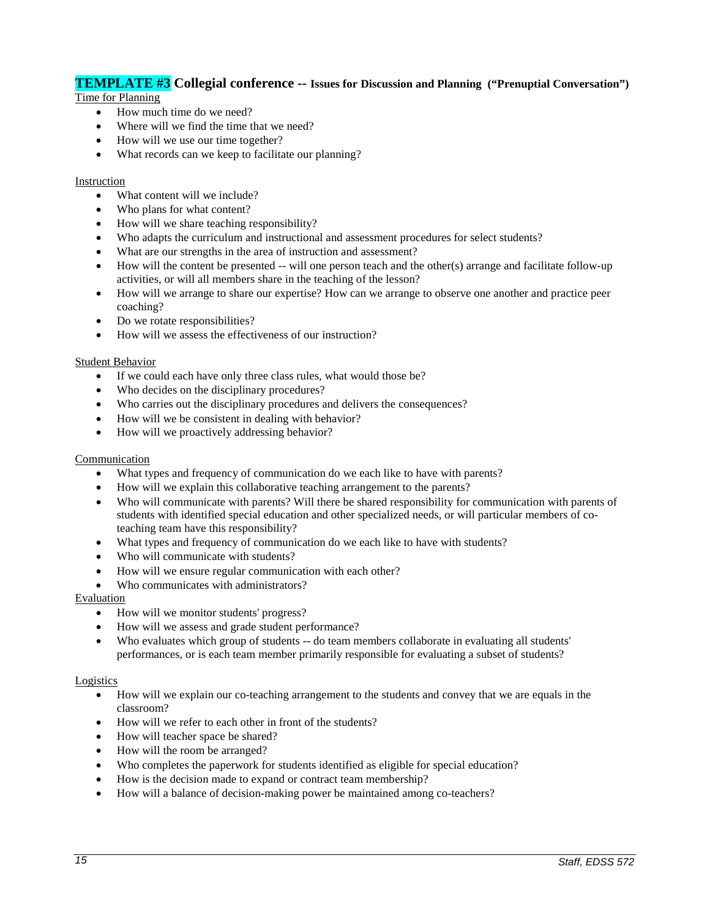# **TEMPLATE #3 Collegial conference -- Issues for Discussion and Planning ("Prenuptial Conversation")**

## Time for Planning

- How much time do we need?
- Where will we find the time that we need?
- How will we use our time together?
- What records can we keep to facilitate our planning?

#### Instruction

- What content will we include?
- Who plans for what content?
- How will we share teaching responsibility?
- Who adapts the curriculum and instructional and assessment procedures for select students?
- What are our strengths in the area of instruction and assessment?
- How will the content be presented -- will one person teach and the other(s) arrange and facilitate follow-up activities, or will all members share in the teaching of the lesson?
- How will we arrange to share our expertise? How can we arrange to observe one another and practice peer coaching?
- Do we rotate responsibilities?
- How will we assess the effectiveness of our instruction?

#### Student Behavior

- If we could each have only three class rules, what would those be?
- Who decides on the disciplinary procedures?
- Who carries out the disciplinary procedures and delivers the consequences?
- How will we be consistent in dealing with behavior?
- How will we proactively addressing behavior?

#### Communication

- What types and frequency of communication do we each like to have with parents?
- How will we explain this collaborative teaching arrangement to the parents?
- Who will communicate with parents? Will there be shared responsibility for communication with parents of students with identified special education and other specialized needs, or will particular members of coteaching team have this responsibility?
- What types and frequency of communication do we each like to have with students?
- Who will communicate with students?
- How will we ensure regular communication with each other?
- Who communicates with administrators?

#### Evaluation

- How will we monitor students' progress?
- How will we assess and grade student performance?
- Who evaluates which group of students -- do team members collaborate in evaluating all students' performances, or is each team member primarily responsible for evaluating a subset of students?

#### Logistics

- How will we explain our co-teaching arrangement to the students and convey that we are equals in the classroom?
- How will we refer to each other in front of the students?
- How will teacher space be shared?
- How will the room be arranged?
- Who completes the paperwork for students identified as eligible for special education?
- How is the decision made to expand or contract team membership?
- How will a balance of decision-making power be maintained among co-teachers?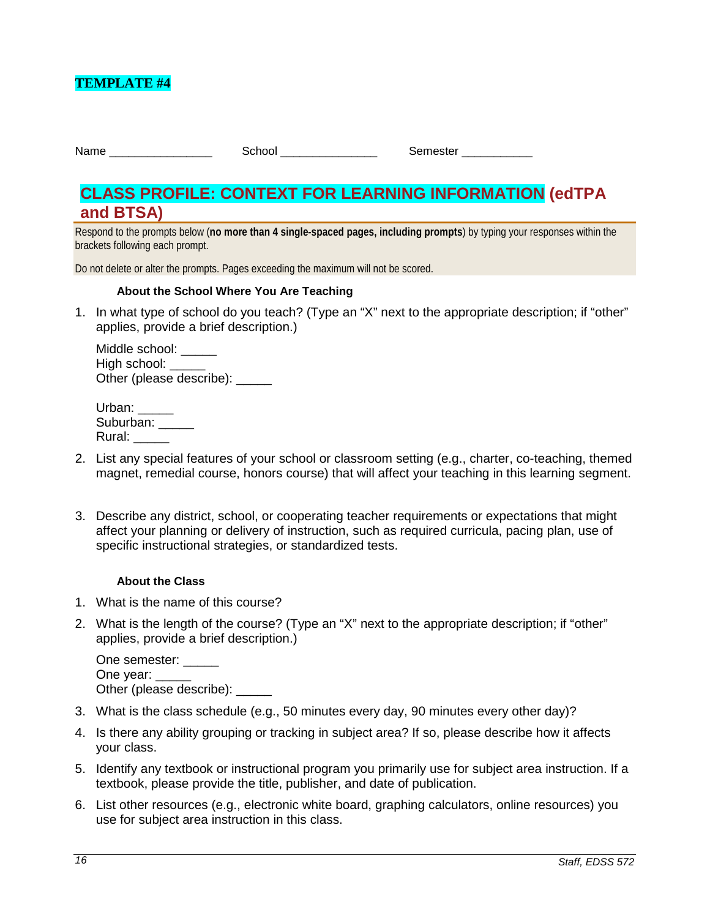

| Name |  |
|------|--|
|      |  |

School \_\_\_\_\_\_\_\_\_\_\_\_\_\_\_\_\_\_\_\_\_ Semester \_\_\_\_\_\_\_\_\_\_\_

# **CLASS PROFILE: CONTEXT FOR LEARNING INFORMATION (edTPA and BTSA)**

Respond to the prompts below (**no more than 4 single-spaced pages, including prompts**) by typing your responses within the brackets following each prompt.

Do not delete or alter the prompts. Pages exceeding the maximum will not be scored.

### **About the School Where You Are Teaching**

1. In what type of school do you teach? (Type an "X" next to the appropriate description; if "other" applies, provide a brief description.)

| Middle school:           |  |
|--------------------------|--|
| High school:             |  |
| Other (please describe): |  |
|                          |  |

| Urban:    |
|-----------|
| Suburban: |
| Rural:    |

- 2. List any special features of your school or classroom setting (e.g., charter, co-teaching, themed magnet, remedial course, honors course) that will affect your teaching in this learning segment.
- 3. Describe any district, school, or cooperating teacher requirements or expectations that might affect your planning or delivery of instruction, such as required curricula, pacing plan, use of specific instructional strategies, or standardized tests.

# **About the Class**

- 1. What is the name of this course?
- 2. What is the length of the course? (Type an "X" next to the appropriate description; if "other" applies, provide a brief description.)

| One semester:            |
|--------------------------|
| One year: __             |
| Other (please describe): |

- 3. What is the class schedule (e.g., 50 minutes every day, 90 minutes every other day)?
- 4. Is there any ability grouping or tracking in subject area? If so, please describe how it affects your class.
- 5. Identify any textbook or instructional program you primarily use for subject area instruction. If a textbook, please provide the title, publisher, and date of publication.
- 6. List other resources (e.g., electronic white board, graphing calculators, online resources) you use for subject area instruction in this class.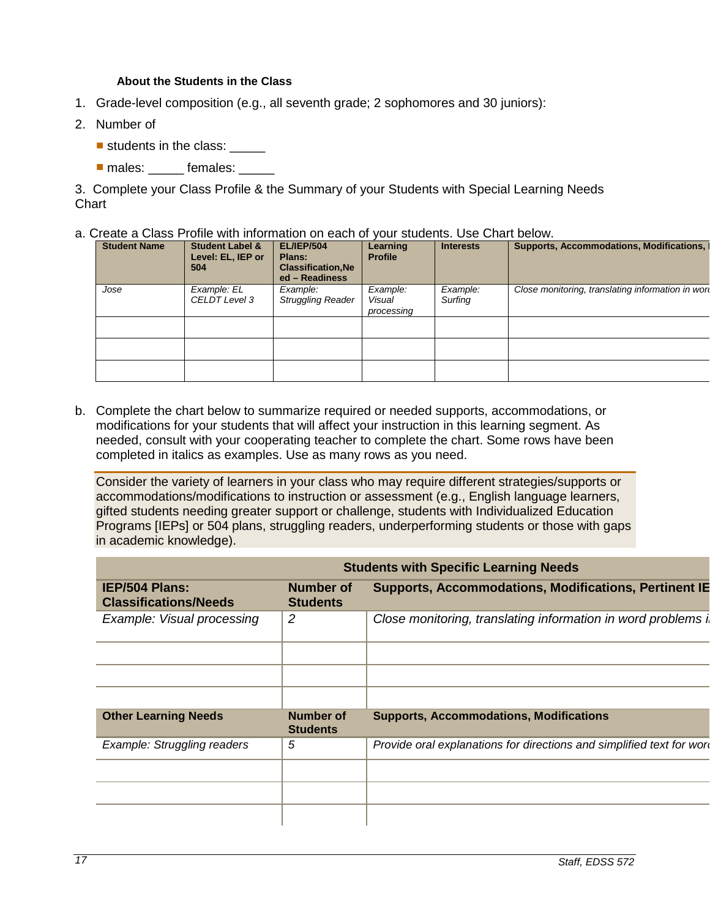# **About the Students in the Class**

- 1. Grade-level composition (e.g., all seventh grade; 2 sophomores and 30 juniors):
- 2. Number of
	- $\blacksquare$  students in the class:
	- **nales:** females:

3. Complete your Class Profile & the Summary of your Students with Special Learning Needs **Chart** 

a. Create a Class Profile with information on each of your students. Use Chart below.

| <b>Student Name</b> | <b>Student Label &amp;</b><br>Level: EL, IEP or<br>504 | <b>EL/IEP/504</b><br>Plans:<br><b>Classification, Ne</b><br>ed – Readiness | Learning<br><b>Profile</b>       | <b>Interests</b>    | Supports, Accommodations, Modifications,          |
|---------------------|--------------------------------------------------------|----------------------------------------------------------------------------|----------------------------------|---------------------|---------------------------------------------------|
| Jose                | Example: EL<br>CELDT Level 3                           | Example:<br><b>Struggling Reader</b>                                       | Example:<br>Visual<br>processing | Example:<br>Surfing | Close monitoring, translating information in wore |
|                     |                                                        |                                                                            |                                  |                     |                                                   |
|                     |                                                        |                                                                            |                                  |                     |                                                   |
|                     |                                                        |                                                                            |                                  |                     |                                                   |

b. Complete the chart below to summarize required or needed supports, accommodations, or modifications for your students that will affect your instruction in this learning segment. As needed, consult with your cooperating teacher to complete the chart. Some rows have been completed in italics as examples. Use as many rows as you need.

Consider the variety of learners in your class who may require different strategies/supports or accommodations/modifications to instruction or assessment (e.g., English language learners, gifted students needing greater support or challenge, students with Individualized Education Programs [IEPs] or 504 plans, struggling readers, underperforming students or those with gaps in academic knowledge).

| <b>Students with Specific Learning Needs</b>          |                              |                                                                       |  |  |  |  |  |
|-------------------------------------------------------|------------------------------|-----------------------------------------------------------------------|--|--|--|--|--|
| <b>IEP/504 Plans:</b><br><b>Classifications/Needs</b> | Number of<br><b>Students</b> | Supports, Accommodations, Modifications, Pertinent IE                 |  |  |  |  |  |
| Example: Visual processing                            | 2                            | Close monitoring, translating information in word problems i          |  |  |  |  |  |
|                                                       |                              |                                                                       |  |  |  |  |  |
|                                                       |                              |                                                                       |  |  |  |  |  |
|                                                       |                              |                                                                       |  |  |  |  |  |
| <b>Other Learning Needs</b>                           | Number of<br><b>Students</b> | <b>Supports, Accommodations, Modifications</b>                        |  |  |  |  |  |
| Example: Struggling readers                           | 5                            | Provide oral explanations for directions and simplified text for work |  |  |  |  |  |
|                                                       |                              |                                                                       |  |  |  |  |  |
|                                                       |                              |                                                                       |  |  |  |  |  |
|                                                       |                              |                                                                       |  |  |  |  |  |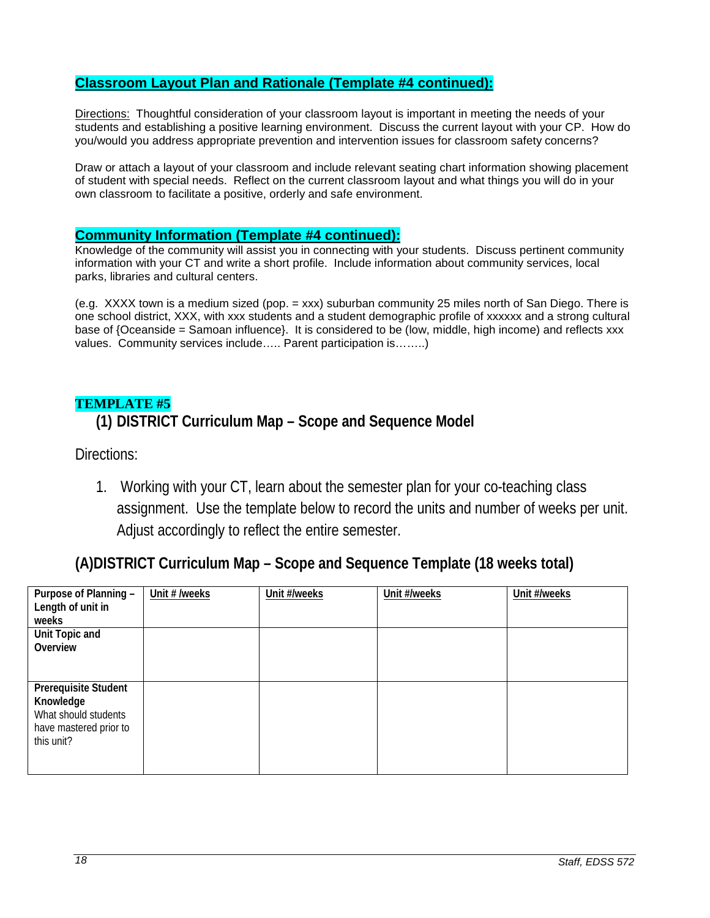# **Classroom Layout Plan and Rationale (Template #4 continued):**

Directions: Thoughtful consideration of your classroom layout is important in meeting the needs of your students and establishing a positive learning environment. Discuss the current layout with your CP. How do you/would you address appropriate prevention and intervention issues for classroom safety concerns?

Draw or attach a layout of your classroom and include relevant seating chart information showing placement of student with special needs. Reflect on the current classroom layout and what things you will do in your own classroom to facilitate a positive, orderly and safe environment.

# **Community Information (Template #4 continued):**

Knowledge of the community will assist you in connecting with your students. Discuss pertinent community information with your CT and write a short profile. Include information about community services, local parks, libraries and cultural centers.

(e.g. XXXX town is a medium sized (pop. = xxx) suburban community 25 miles north of San Diego. There is one school district, XXX, with xxx students and a student demographic profile of xxxxxx and a strong cultural base of {Oceanside = Samoan influence}. It is considered to be (low, middle, high income) and reflects xxx values. Community services include….. Parent participation is……..)

# **TEMPLATE #5**

# **(1) DISTRICT Curriculum Map – Scope and Sequence Model**

Directions:

1. Working with your CT, learn about the semester plan for your co-teaching class assignment. Use the template below to record the units and number of weeks per unit. Adjust accordingly to reflect the entire semester.

# **(A)DISTRICT Curriculum Map – Scope and Sequence Template (18 weeks total)**